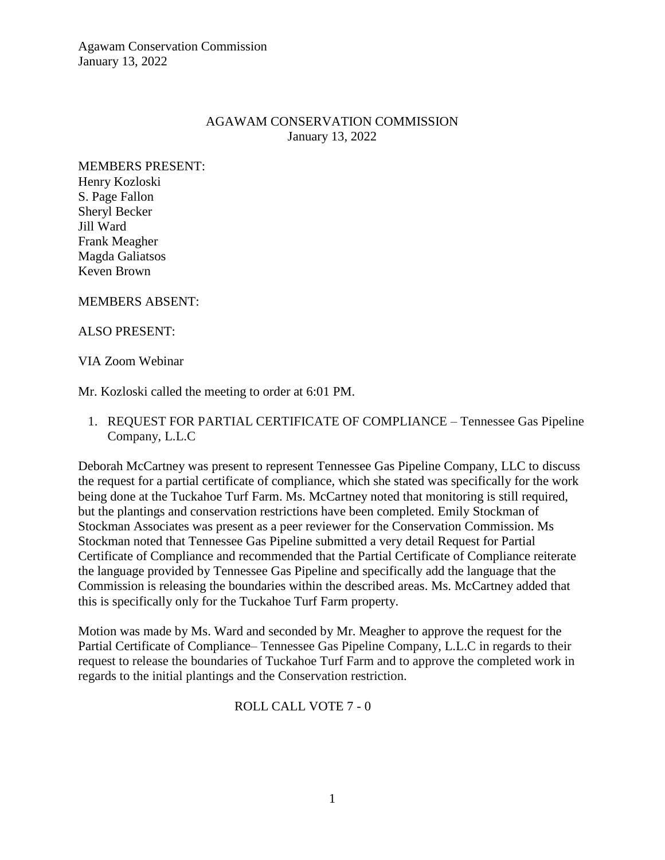Agawam Conservation Commission January 13, 2022

## AGAWAM CONSERVATION COMMISSION January 13, 2022

MEMBERS PRESENT: Henry Kozloski S. Page Fallon Sheryl Becker Jill Ward Frank Meagher Magda Galiatsos Keven Brown

#### MEMBERS ABSENT:

#### ALSO PRESENT:

#### VIA Zoom Webinar

Mr. Kozloski called the meeting to order at 6:01 PM.

1. REQUEST FOR PARTIAL CERTIFICATE OF COMPLIANCE – Tennessee Gas Pipeline Company, L.L.C

Deborah McCartney was present to represent Tennessee Gas Pipeline Company, LLC to discuss the request for a partial certificate of compliance, which she stated was specifically for the work being done at the Tuckahoe Turf Farm. Ms. McCartney noted that monitoring is still required, but the plantings and conservation restrictions have been completed. Emily Stockman of Stockman Associates was present as a peer reviewer for the Conservation Commission. Ms Stockman noted that Tennessee Gas Pipeline submitted a very detail Request for Partial Certificate of Compliance and recommended that the Partial Certificate of Compliance reiterate the language provided by Tennessee Gas Pipeline and specifically add the language that the Commission is releasing the boundaries within the described areas. Ms. McCartney added that this is specifically only for the Tuckahoe Turf Farm property.

Motion was made by Ms. Ward and seconded by Mr. Meagher to approve the request for the Partial Certificate of Compliance– Tennessee Gas Pipeline Company, L.L.C in regards to their request to release the boundaries of Tuckahoe Turf Farm and to approve the completed work in regards to the initial plantings and the Conservation restriction.

## ROLL CALL VOTE 7 - 0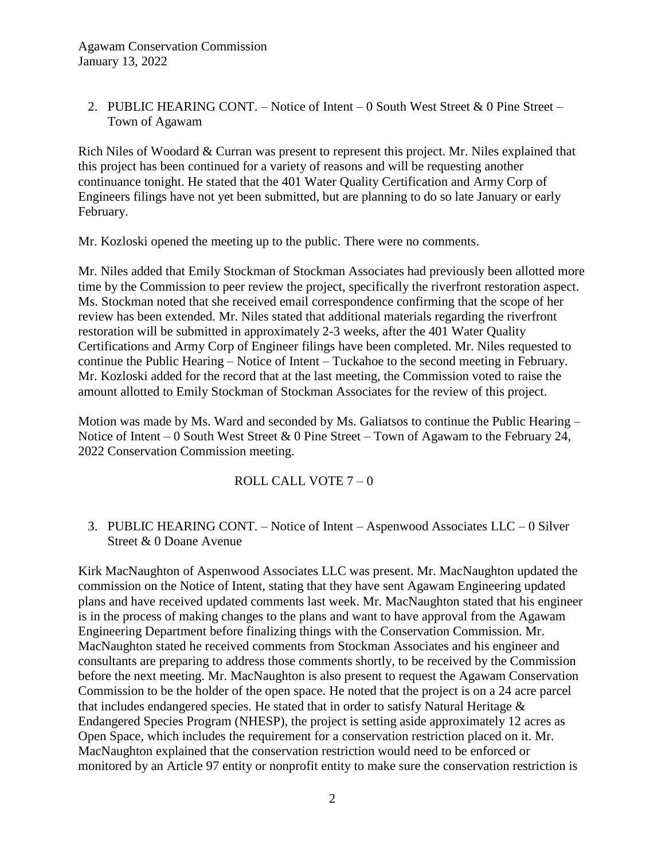2. PUBLIC HEARING CONT. – Notice of Intent – 0 South West Street & 0 Pine Street – Town of Agawam

Rich Niles of Woodard & Curran was present to represent this project. Mr. Niles explained that this project has been continued for a variety of reasons and will be requesting another continuance tonight. He stated that the 401 Water Quality Certification and Army Corp of Engineers filings have not yet been submitted, but are planning to do so late January or early February.

Mr. Kozloski opened the meeting up to the public. There were no comments.

Mr. Niles added that Emily Stockman of Stockman Associates had previously been allotted more time by the Commission to peer review the project, specifically the riverfront restoration aspect. Ms. Stockman noted that she received email correspondence confirming that the scope of her review has been extended. Mr. Niles stated that additional materials regarding the riverfront restoration will be submitted in approximately 2-3 weeks, after the 401 Water Quality Certifications and Army Corp of Engineer filings have been completed. Mr. Niles requested to continue the Public Hearing – Notice of Intent – Tuckahoe to the second meeting in February. Mr. Kozloski added for the record that at the last meeting, the Commission voted to raise the amount allotted to Emily Stockman of Stockman Associates for the review of this project.

Motion was made by Ms. Ward and seconded by Ms. Galiatsos to continue the Public Hearing – Notice of Intent – 0 South West Street & 0 Pine Street – Town of Agawam to the February 24, 2022 Conservation Commission meeting.

## ROLL CALL VOTE 7 – 0

## 3. PUBLIC HEARING CONT. – Notice of Intent – Aspenwood Associates LLC – 0 Silver Street & 0 Doane Avenue

Kirk MacNaughton of Aspenwood Associates LLC was present. Mr. MacNaughton updated the commission on the Notice of Intent, stating that they have sent Agawam Engineering updated plans and have received updated comments last week. Mr. MacNaughton stated that his engineer is in the process of making changes to the plans and want to have approval from the Agawam Engineering Department before finalizing things with the Conservation Commission. Mr. MacNaughton stated he received comments from Stockman Associates and his engineer and consultants are preparing to address those comments shortly, to be received by the Commission before the next meeting. Mr. MacNaughton is also present to request the Agawam Conservation Commission to be the holder of the open space. He noted that the project is on a 24 acre parcel that includes endangered species. He stated that in order to satisfy Natural Heritage & Endangered Species Program (NHESP), the project is setting aside approximately 12 acres as Open Space, which includes the requirement for a conservation restriction placed on it. Mr. MacNaughton explained that the conservation restriction would need to be enforced or monitored by an Article 97 entity or nonprofit entity to make sure the conservation restriction is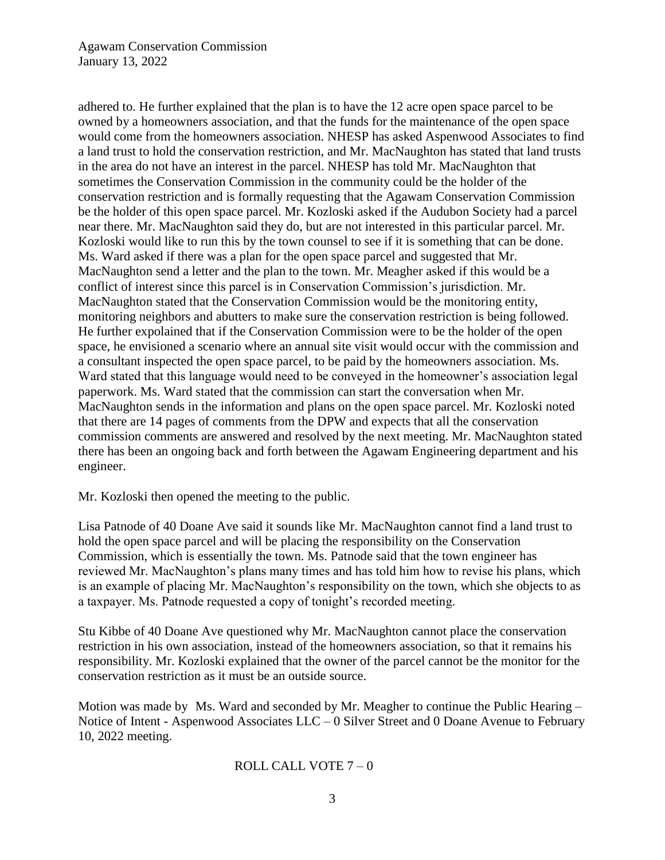Agawam Conservation Commission January 13, 2022

adhered to. He further explained that the plan is to have the 12 acre open space parcel to be owned by a homeowners association, and that the funds for the maintenance of the open space would come from the homeowners association. NHESP has asked Aspenwood Associates to find a land trust to hold the conservation restriction, and Mr. MacNaughton has stated that land trusts in the area do not have an interest in the parcel. NHESP has told Mr. MacNaughton that sometimes the Conservation Commission in the community could be the holder of the conservation restriction and is formally requesting that the Agawam Conservation Commission be the holder of this open space parcel. Mr. Kozloski asked if the Audubon Society had a parcel near there. Mr. MacNaughton said they do, but are not interested in this particular parcel. Mr. Kozloski would like to run this by the town counsel to see if it is something that can be done. Ms. Ward asked if there was a plan for the open space parcel and suggested that Mr. MacNaughton send a letter and the plan to the town. Mr. Meagher asked if this would be a conflict of interest since this parcel is in Conservation Commission's jurisdiction. Mr. MacNaughton stated that the Conservation Commission would be the monitoring entity, monitoring neighbors and abutters to make sure the conservation restriction is being followed. He further expolained that if the Conservation Commission were to be the holder of the open space, he envisioned a scenario where an annual site visit would occur with the commission and a consultant inspected the open space parcel, to be paid by the homeowners association. Ms. Ward stated that this language would need to be conveyed in the homeowner's association legal paperwork. Ms. Ward stated that the commission can start the conversation when Mr. MacNaughton sends in the information and plans on the open space parcel. Mr. Kozloski noted that there are 14 pages of comments from the DPW and expects that all the conservation commission comments are answered and resolved by the next meeting. Mr. MacNaughton stated there has been an ongoing back and forth between the Agawam Engineering department and his engineer.

Mr. Kozloski then opened the meeting to the public.

Lisa Patnode of 40 Doane Ave said it sounds like Mr. MacNaughton cannot find a land trust to hold the open space parcel and will be placing the responsibility on the Conservation Commission, which is essentially the town. Ms. Patnode said that the town engineer has reviewed Mr. MacNaughton's plans many times and has told him how to revise his plans, which is an example of placing Mr. MacNaughton's responsibility on the town, which she objects to as a taxpayer. Ms. Patnode requested a copy of tonight's recorded meeting.

Stu Kibbe of 40 Doane Ave questioned why Mr. MacNaughton cannot place the conservation restriction in his own association, instead of the homeowners association, so that it remains his responsibility. Mr. Kozloski explained that the owner of the parcel cannot be the monitor for the conservation restriction as it must be an outside source.

Motion was made by Ms. Ward and seconded by Mr. Meagher to continue the Public Hearing – Notice of Intent - Aspenwood Associates LLC – 0 Silver Street and 0 Doane Avenue to February 10, 2022 meeting.

## ROLL CALL VOTE 7 – 0